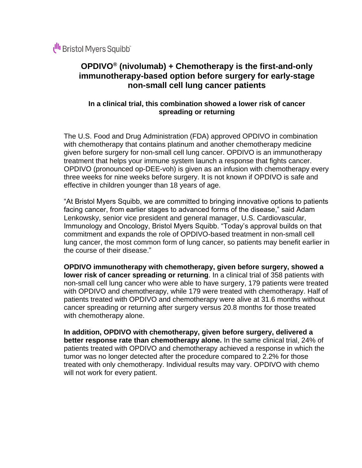# **OPDIVO® (nivolumab) + Chemotherapy is the first-and-only immunotherapy-based option before surgery for early-stage non-small cell lung cancer patients**

# **In a clinical trial, this combination showed a lower risk of cancer spreading or returning**

The U.S. Food and Drug Administration (FDA) approved OPDIVO in combination with chemotherapy that contains platinum and another chemotherapy medicine given before surgery for non-small cell lung cancer. OPDIVO is an immunotherapy treatment that helps your immune system launch a response that fights cancer. OPDIVO (pronounced op-DEE-voh) is given as an infusion with chemotherapy every three weeks for nine weeks before surgery. It is not known if OPDIVO is safe and effective in children younger than 18 years of age.

"At Bristol Myers Squibb, we are committed to bringing innovative options to patients facing cancer, from earlier stages to advanced forms of the disease," said Adam Lenkowsky, senior vice president and general manager, U.S. Cardiovascular, Immunology and Oncology, Bristol Myers Squibb. "Today's approval builds on that commitment and expands the role of OPDIVO-based treatment in non-small cell lung cancer, the most common form of lung cancer, so patients may benefit earlier in the course of their disease."

**OPDIVO immunotherapy with chemotherapy, given before surgery, showed a lower risk of cancer spreading or returning**. In a clinical trial of 358 patients with non-small cell lung cancer who were able to have surgery, 179 patients were treated with OPDIVO and chemotherapy, while 179 were treated with chemotherapy. Half of patients treated with OPDIVO and chemotherapy were alive at 31.6 months without cancer spreading or returning after surgery versus 20.8 months for those treated with chemotherapy alone.

**In addition, OPDIVO with chemotherapy, given before surgery, delivered a better response rate than chemotherapy alone.** In the same clinical trial, 24% of patients treated with OPDIVO and chemotherapy achieved a response in which the tumor was no longer detected after the procedure compared to 2.2% for those treated with only chemotherapy. Individual results may vary. OPDIVO with chemo will not work for every patient.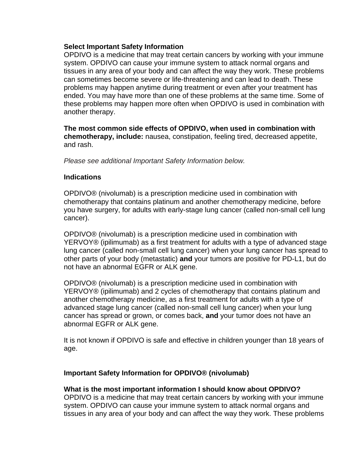#### **Select Important Safety Information**

OPDIVO is a medicine that may treat certain cancers by working with your immune system. OPDIVO can cause your immune system to attack normal organs and tissues in any area of your body and can affect the way they work. These problems can sometimes become severe or life-threatening and can lead to death. These problems may happen anytime during treatment or even after your treatment has ended. You may have more than one of these problems at the same time. Some of these problems may happen more often when OPDIVO is used in combination with another therapy.

**The most common side effects of OPDIVO, when used in combination with chemotherapy, include:** nausea, constipation, feeling tired, decreased appetite, and rash.

*Please see additional Important Safety Information below.*

#### **Indications**

OPDIVO® (nivolumab) is a prescription medicine used in combination with chemotherapy that contains platinum and another chemotherapy medicine, before you have surgery, for adults with early-stage lung cancer (called non-small cell lung cancer).

OPDIVO® (nivolumab) is a prescription medicine used in combination with YERVOY® (ipilimumab) as a first treatment for adults with a type of advanced stage lung cancer (called non-small cell lung cancer) when your lung cancer has spread to other parts of your body (metastatic) **and** your tumors are positive for PD-L1, but do not have an abnormal EGFR or ALK gene.

OPDIVO® (nivolumab) is a prescription medicine used in combination with YERVOY® (ipilimumab) and 2 cycles of chemotherapy that contains platinum and another chemotherapy medicine, as a first treatment for adults with a type of advanced stage lung cancer (called non-small cell lung cancer) when your lung cancer has spread or grown, or comes back, **and** your tumor does not have an abnormal EGFR or ALK gene.

It is not known if OPDIVO is safe and effective in children younger than 18 years of age.

## **Important Safety Information for OPDIVO® (nivolumab)**

## **What is the most important information I should know about OPDIVO?**

OPDIVO is a medicine that may treat certain cancers by working with your immune system. OPDIVO can cause your immune system to attack normal organs and tissues in any area of your body and can affect the way they work. These problems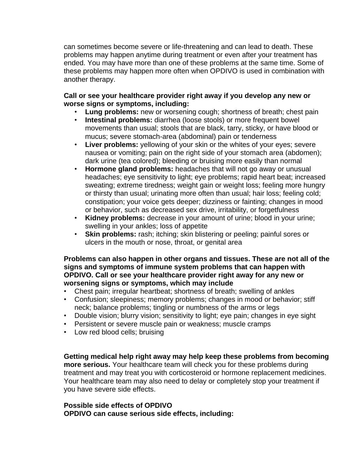can sometimes become severe or life-threatening and can lead to death. These problems may happen anytime during treatment or even after your treatment has ended. You may have more than one of these problems at the same time. Some of these problems may happen more often when OPDIVO is used in combination with another therapy.

## **Call or see your healthcare provider right away if you develop any new or worse signs or symptoms, including:**

- **Lung problems:** new or worsening cough; shortness of breath; chest pain
- **Intestinal problems:** diarrhea (loose stools) or more frequent bowel movements than usual; stools that are black, tarry, sticky, or have blood or mucus; severe stomach-area (abdominal) pain or tenderness
- **Liver problems:** yellowing of your skin or the whites of your eyes; severe nausea or vomiting; pain on the right side of your stomach area (abdomen); dark urine (tea colored); bleeding or bruising more easily than normal
- **Hormone gland problems:** headaches that will not go away or unusual headaches; eye sensitivity to light; eye problems; rapid heart beat; increased sweating; extreme tiredness; weight gain or weight loss; feeling more hungry or thirsty than usual; urinating more often than usual; hair loss; feeling cold; constipation; your voice gets deeper; dizziness or fainting; changes in mood or behavior, such as decreased sex drive, irritability, or forgetfulness
- **Kidney problems:** decrease in your amount of urine; blood in your urine; swelling in your ankles; loss of appetite
- **Skin problems:** rash; itching; skin blistering or peeling; painful sores or ulcers in the mouth or nose, throat, or genital area

**Problems can also happen in other organs and tissues. These are not all of the signs and symptoms of immune system problems that can happen with OPDIVO. Call or see your healthcare provider right away for any new or worsening signs or symptoms, which may include**

- Chest pain; irregular heartbeat; shortness of breath; swelling of ankles
- Confusion; sleepiness; memory problems; changes in mood or behavior; stiff neck; balance problems; tingling or numbness of the arms or legs
- Double vision; blurry vision; sensitivity to light; eye pain; changes in eye sight
- Persistent or severe muscle pain or weakness; muscle cramps
- Low red blood cells; bruising

**Getting medical help right away may help keep these problems from becoming more serious.** Your healthcare team will check you for these problems during treatment and may treat you with corticosteroid or hormone replacement medicines. Your healthcare team may also need to delay or completely stop your treatment if you have severe side effects.

## **Possible side effects of OPDIVO OPDIVO can cause serious side effects, including:**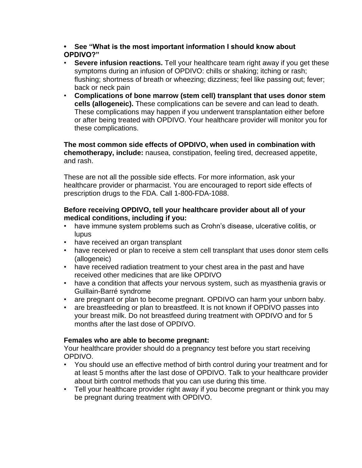**• See "What is the most important information I should know about OPDIVO?"**

- **Severe infusion reactions.** Tell your healthcare team right away if you get these symptoms during an infusion of OPDIVO: chills or shaking; itching or rash; flushing; shortness of breath or wheezing; dizziness; feel like passing out; fever; back or neck pain
- **Complications of bone marrow (stem cell) transplant that uses donor stem cells (allogeneic).** These complications can be severe and can lead to death. These complications may happen if you underwent transplantation either before or after being treated with OPDIVO. Your healthcare provider will monitor you for these complications.

**The most common side effects of OPDIVO, when used in combination with chemotherapy, include:** nausea, constipation, feeling tired, decreased appetite, and rash.

These are not all the possible side effects. For more information, ask your healthcare provider or pharmacist. You are encouraged to report side effects of prescription drugs to the FDA. Call 1-800-FDA-1088.

## **Before receiving OPDIVO, tell your healthcare provider about all of your medical conditions, including if you:**

- have immune system problems such as Crohn's disease, ulcerative colitis, or lupus
- have received an organ transplant
- have received or plan to receive a stem cell transplant that uses donor stem cells (allogeneic)
- have received radiation treatment to your chest area in the past and have received other medicines that are like OPDIVO
- have a condition that affects your nervous system, such as myasthenia gravis or Guillain-Barré syndrome
- are pregnant or plan to become pregnant. OPDIVO can harm your unborn baby.
- are breastfeeding or plan to breastfeed. It is not known if OPDIVO passes into your breast milk. Do not breastfeed during treatment with OPDIVO and for 5 months after the last dose of OPDIVO.

# **Females who are able to become pregnant:**

Your healthcare provider should do a pregnancy test before you start receiving OPDIVO.

- You should use an effective method of birth control during your treatment and for at least 5 months after the last dose of OPDIVO. Talk to your healthcare provider about birth control methods that you can use during this time.
- Tell your healthcare provider right away if you become pregnant or think you may be pregnant during treatment with OPDIVO.